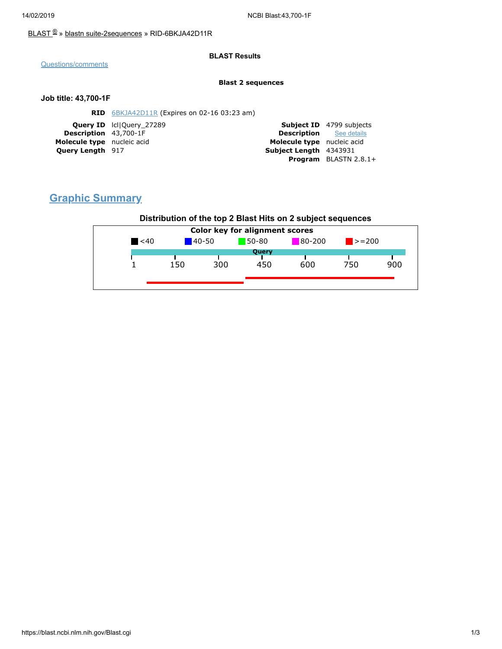### [BLAST](https://blast.ncbi.nlm.nih.gov/Blast.cgi) ® » blastn [suite-2sequences](https://blast.ncbi.nlm.nih.gov/Blast.cgi?PAGE=MegaBlast&PROGRAM=blastn&PAGE_TYPE=BlastSearch&BLAST_SPEC=blast2seq) » RID-6BKJA42D11R

#### **BLAST Results**

[Questions/comments](https://support.nlm.nih.gov/knowledgebase/category/?id=CAT-01239)

#### **Blast 2 sequences**

#### **Job title: 43,700-1F**

| <b>RID</b> 6BKJA42D11R (Expires on 02-16 03:23 am) |                                |                                 |
|----------------------------------------------------|--------------------------------|---------------------------------|
| <b>Query ID</b> IcllOuery 27289                    |                                | <b>Subject ID</b> 4799 subjects |
| <b>Description</b> 43,700-1F                       | <b>Description</b> See details |                                 |
| Molecule type nucleic acid                         | Molecule type nucleic acid     |                                 |
| <b>Query Length</b> 917                            | Subject Length 4343931         |                                 |
|                                                    |                                | <b>Program</b> BLASTN $2.8.1+$  |
|                                                    |                                |                                 |

# **Graphic Summary**

## **Distribution of the top 2 Blast Hits on 2 subject sequences**

| 80-200<br>$50 - 80$<br>$\blacktriangle$ <40<br>$140 - 50$<br>$\ge$ = 200<br>Query<br>300<br>750<br>600<br>150<br>450 | <b>Color key for alignment scores</b> |  |  |  |  |  |     |
|----------------------------------------------------------------------------------------------------------------------|---------------------------------------|--|--|--|--|--|-----|
|                                                                                                                      |                                       |  |  |  |  |  |     |
|                                                                                                                      |                                       |  |  |  |  |  |     |
|                                                                                                                      |                                       |  |  |  |  |  | 900 |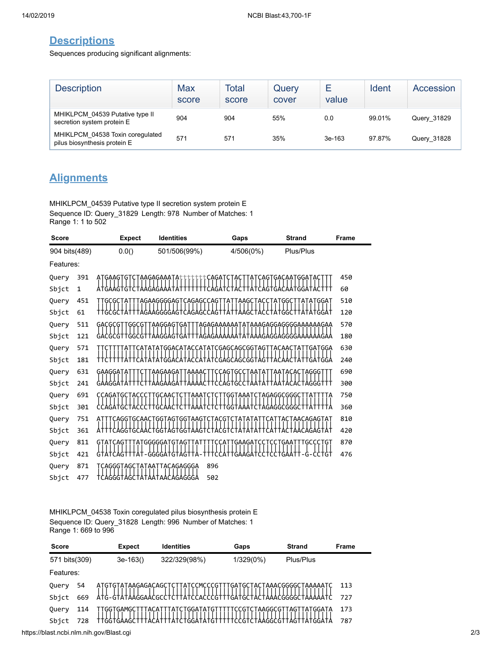## **Descriptions**

Sequences producing significant alignments:

| <b>Description</b>                                               | Max<br>score | Total<br>score | Query<br>cover | ⊢<br>value | Ident  | Accession   |
|------------------------------------------------------------------|--------------|----------------|----------------|------------|--------|-------------|
| MHIKLPCM 04539 Putative type II<br>secretion system protein E    | 904          | 904            | 55%            | 0.0        | 99.01% | Query 31829 |
| MHIKLPCM 04538 Toxin coregulated<br>pilus biosynthesis protein E | 571          | 571            | 35%            | 3e-163     | 97.87% | Query 31828 |

# **Alignments**

MHIKLPCM\_04539 Putative type II secretion system protein E Sequence ID: Query\_31829 Length: 978 Number of Matches: 1 Range 1: 1 to 502

| <b>Score</b>  |              | <b>Expect</b>            | <b>Identities</b>        | Gaps                                | <b>Strand</b>               | Frame |
|---------------|--------------|--------------------------|--------------------------|-------------------------------------|-----------------------------|-------|
| 904 bits(489) |              | 0.0()                    | 501/506(99%)             | 4/506(0%)                           | Plus/Plus                   |       |
| Features:     |              |                          |                          |                                     |                             |       |
| Query         | 391          | GAAG.<br>ΑI              | AAGAGAAA                 |                                     | 'GGA<br>GACAA               | 450   |
| Sbjct         | $\mathbf{1}$ | AGT<br>G                 |                          | G1                                  | GΑ<br>GGΑ                   | 60    |
| Query         | 451          | GCGCT                    | AGAAGGGGAGTCAGAGCCAGTTAT | AAGC                                | <b>ATGGC</b><br><b>GGAT</b> | 510   |
| Sbjct         | 61           |                          |                          |                                     |                             | 120   |
| Query         | 511          | GACGCGTTGGCGTTAAGGAGTGAT |                          | TAGAGAAAAAATATAAAGAGGAGGGGAAAAAAGAA |                             | 570   |
| Sbjct         | 121          |                          | AAGGAGTGA                |                                     | GAA<br>GGAGGGGAAA           | 180   |
| Query         | 571          |                          | <b>GGACATACC</b>         | CGAGCAGCGGTAG                       | GATGGA                      | 630   |
| Sbjct         | 181          |                          |                          | GCAGC<br>(-іД<br>GG                 |                             | 240   |
| Query         | 631          | GAAGGAT                  | AAGAAGAT<br>TAAAA        | GT<br>GC.                           | ACAC<br>AGGG.               | 690   |
| Sbjct         | 241          |                          |                          | GT                                  |                             | 300   |
| Query         | 691          | CCAGATGC                 |                          | ĢĢ<br>TAAA1                         | AGAGGCGGGC                  | 750   |
| Sbjct         | 301          |                          |                          | GΑ                                  | GGCGGGC                     | 360   |
| Query         | 751          | AGGTGCAAC1:              | GGTAGTGGTAAG1            | G                                   | AACAGAGTAT                  | 810   |
| Sbjct         | 361          | CAGG I                   | GT<br>ัดดิ               |                                     |                             | 420   |
| Query         | 811          | GTATCAGT                 | TATGGGGGATGTAGTTAT       | :CCATTGAAGATCCTCCTGAATTTGCCCTGT     |                             | 870   |
| Sbjct         | 421          | CAG.<br>G                | GGGA<br>G                |                                     | tst:<br>G                   | 476   |
| Query         | 871          | CAGGGTAGC<br>ATAAT       | TACAGAGGGA               | 896                                 |                             |       |
| Sbjct         | 477          | CAGGGTAGC                | AATAACAGAGGGA            | 502                                 |                             |       |

MHIKLPCM\_04538 Toxin coregulated pilus biosynthesis protein E Sequence ID: Query\_31828 Length: 996 Number of Matches: 1 Range 1: 669 to 996

| <b>Score</b>  |     | <b>Expect</b>       | <b>Identities</b>                                            | Gaps         | <b>Strand</b>  | <b>Frame</b> |
|---------------|-----|---------------------|--------------------------------------------------------------|--------------|----------------|--------------|
| 571 bits(309) |     | $3e-163()$          | 322/329(98%)                                                 | $1/329(0\%)$ | Plus/Plus      |              |
| Features:     |     |                     |                                                              |              |                |              |
| Query         | 54  |                     | ATGTGTATAAGAGACAGCTCTTATCCMCCCGTTTGATGCTACTAAACGGGGCTAAAAATC |              |                | 113          |
| Sbict         | 669 |                     | AtG-GtAtAAGGAACGCCtCttAtCCACCCGtttGAtGCtACt                  |              |                | 727          |
| Query         | 114 | TGAMGC<br>uu<br>ALA | TGGATAT<br>A                                                 | AAGGCGT      | AIGGAIA<br>AG. | 173          |
| Sbjct         | 728 | ัGGT                |                                                              |              |                | 787          |